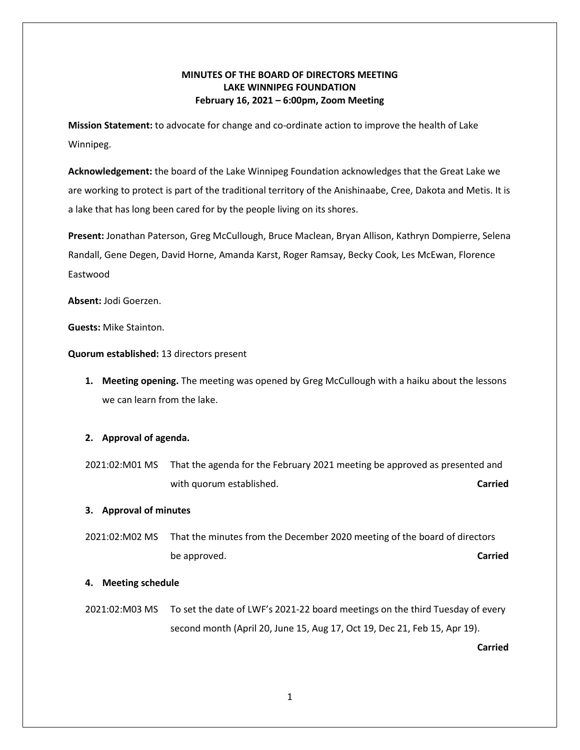## **MINUTES OF THE BOARD OF DIRECTORS MEETING LAKE WINNIPEG FOUNDATION February 16, 2021 – 6:00pm, Zoom Meeting**

**Mission Statement:** to advocate for change and co-ordinate action to improve the health of Lake Winnipeg.

**Acknowledgement:** the board of the Lake Winnipeg Foundation acknowledges that the Great Lake we are working to protect is part of the traditional territory of the Anishinaabe, Cree, Dakota and Metis. It is a lake that has long been cared for by the people living on its shores.

**Present:** Jonathan Paterson, Greg McCullough, Bruce Maclean, Bryan Allison, Kathryn Dompierre, Selena Randall, Gene Degen, David Horne, Amanda Karst, Roger Ramsay, Becky Cook, Les McEwan, Florence Eastwood

**Absent:** Jodi Goerzen.

**Guests:** Mike Stainton.

**Quorum established:** 13 directors present

**1. Meeting opening.** The meeting was opened by Greg McCullough with a haiku about the lessons we can learn from the lake.

## **2. Approval of agenda.**

2021:02:M01 MS That the agenda for the February 2021 meeting be approved as presented and with quorum established. **Carried Carried** 

## **3. Approval of minutes**

2021:02:M02 MS That the minutes from the December 2020 meeting of the board of directors be approved. **Carried**

#### **4. Meeting schedule**

2021:02:M03 MS To set the date of LWF's 2021-22 board meetings on the third Tuesday of every second month (April 20, June 15, Aug 17, Oct 19, Dec 21, Feb 15, Apr 19).

**Carried**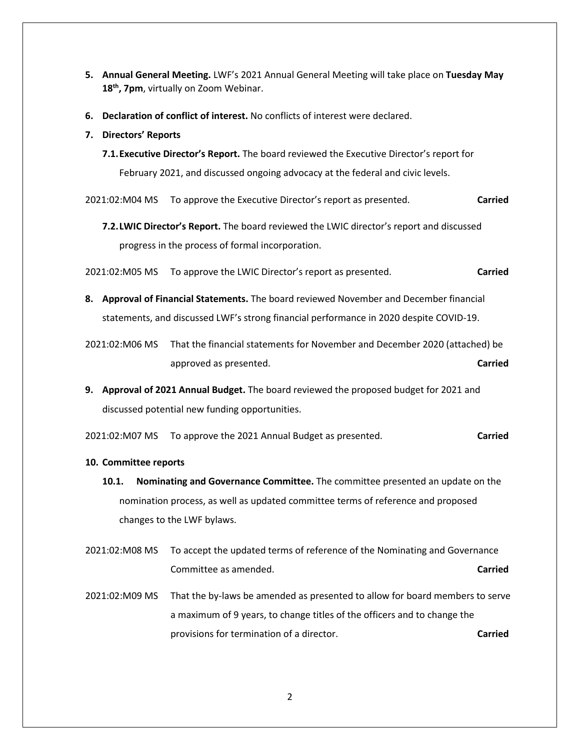- **5. Annual General Meeting.** LWF's 2021 Annual General Meeting will take place on **Tuesday May**  18<sup>th</sup>, 7pm, virtually on Zoom Webinar.
- **6. Declaration of conflict of interest.** No conflicts of interest were declared.
- **7. Directors' Reports**
	- **7.1.Executive Director's Report.** The board reviewed the Executive Director's report for February 2021, and discussed ongoing advocacy at the federal and civic levels.

2021:02:M04 MS To approve the Executive Director's report as presented. **Carried** 

**7.2.LWIC Director's Report.** The board reviewed the LWIC director's report and discussed progress in the process of formal incorporation.

2021:02:M05 MS To approve the LWIC Director's report as presented. **Carried**

- **8. Approval of Financial Statements.** The board reviewed November and December financial statements, and discussed LWF's strong financial performance in 2020 despite COVID-19.
- 2021:02:M06 MS That the financial statements for November and December 2020 (attached) be approved as presented. **Carried**
- **9. Approval of 2021 Annual Budget.** The board reviewed the proposed budget for 2021 and discussed potential new funding opportunities.
- 2021:02:M07 MS To approve the 2021 Annual Budget as presented. **Carried**
- **10. Committee reports**
	- **10.1. Nominating and Governance Committee.** The committee presented an update on the nomination process, as well as updated committee terms of reference and proposed changes to the LWF bylaws.
- 2021:02:M08 MS To accept the updated terms of reference of the Nominating and Governance Committee as amended. **Carried**
- 2021:02:M09 MS That the by-laws be amended as presented to allow for board members to serve a maximum of 9 years, to change titles of the officers and to change the provisions for termination of a director. **Carried**